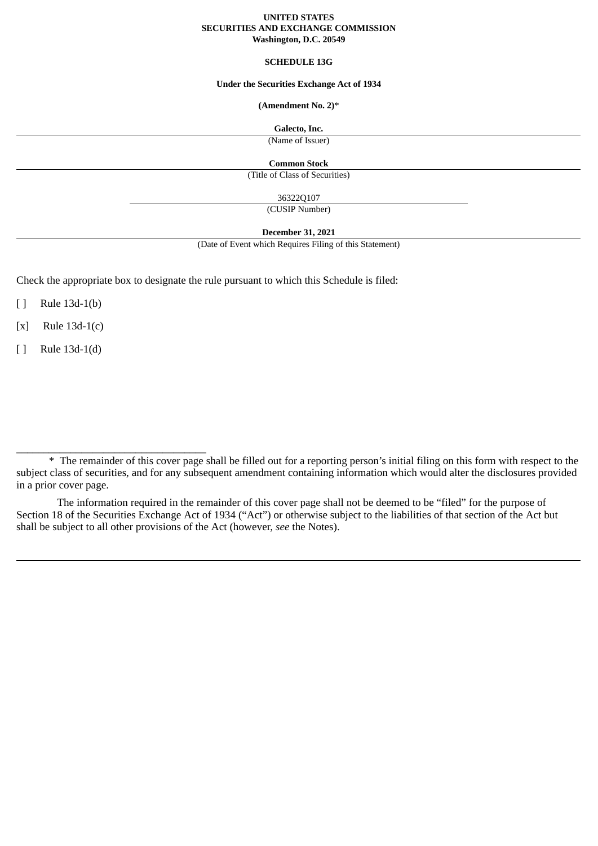#### **UNITED STATES SECURITIES AND EXCHANGE COMMISSION Washington, D.C. 20549**

### **SCHEDULE 13G**

#### **Under the Securities Exchange Act of 1934**

## **(Amendment No. 2)**\*

#### **Galecto, Inc.**

(Name of Issuer)

**Common Stock**

(Title of Class of Securities)

36322Q107

(CUSIP Number)

**December 31, 2021**

(Date of Event which Requires Filing of this Statement)

Check the appropriate box to designate the rule pursuant to which this Schedule is filed:

[ ] Rule 13d-1(b)

[x] Rule 13d-1(c)

[ ] Rule 13d-1(d)

\_\_\_\_\_\_\_\_\_\_\_\_\_\_\_\_\_\_\_\_\_\_\_\_\_\_\_\_\_\_\_\_\_\_\_

The information required in the remainder of this cover page shall not be deemed to be "filed" for the purpose of Section 18 of the Securities Exchange Act of 1934 ("Act") or otherwise subject to the liabilities of that section of the Act but shall be subject to all other provisions of the Act (however, *see* the Notes).

<sup>\*</sup> The remainder of this cover page shall be filled out for a reporting person's initial filing on this form with respect to the subject class of securities, and for any subsequent amendment containing information which would alter the disclosures provided in a prior cover page.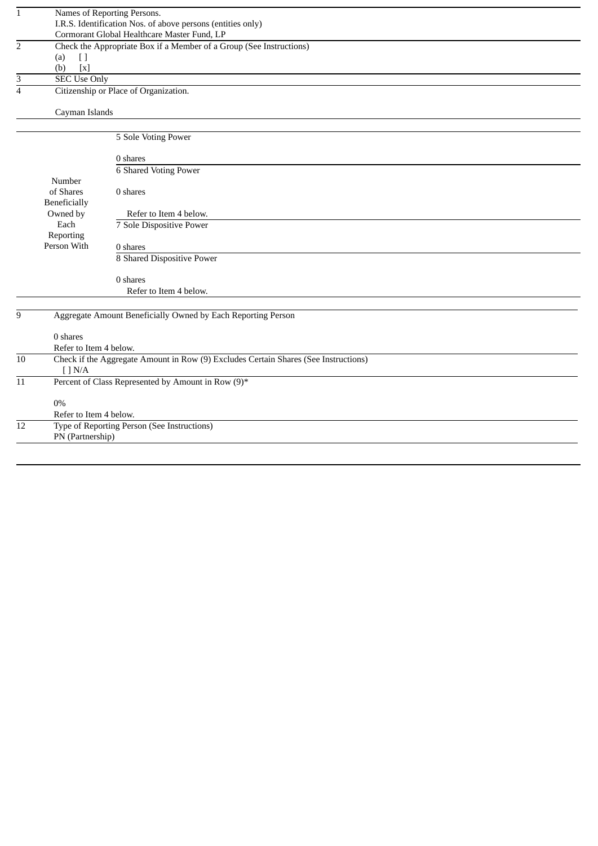| $\mathbf{1}$   |                        | Names of Reporting Persons.                                                         |
|----------------|------------------------|-------------------------------------------------------------------------------------|
|                |                        | I.R.S. Identification Nos. of above persons (entities only)                         |
|                |                        | Cormorant Global Healthcare Master Fund, LP                                         |
| $\overline{2}$ |                        | Check the Appropriate Box if a Member of a Group (See Instructions)                 |
|                | (a)<br>$[ \ ]$         |                                                                                     |
|                | $[X]$<br>(b)           |                                                                                     |
| 3              | <b>SEC Use Only</b>    |                                                                                     |
| $\overline{4}$ |                        | Citizenship or Place of Organization.                                               |
|                | Cayman Islands         |                                                                                     |
|                |                        |                                                                                     |
|                |                        | 5 Sole Voting Power                                                                 |
|                |                        | 0 shares                                                                            |
|                |                        | <b>6 Shared Voting Power</b>                                                        |
|                | Number                 |                                                                                     |
|                | of Shares              | 0 shares                                                                            |
|                | <b>Beneficially</b>    |                                                                                     |
|                | Owned by               | Refer to Item 4 below.                                                              |
|                | Each                   | 7 Sole Dispositive Power                                                            |
|                | Reporting              |                                                                                     |
|                | Person With            | 0 shares                                                                            |
|                |                        | 8 Shared Dispositive Power                                                          |
|                |                        | 0 shares                                                                            |
|                |                        | Refer to Item 4 below.                                                              |
|                |                        |                                                                                     |
| 9              |                        | Aggregate Amount Beneficially Owned by Each Reporting Person                        |
|                | 0 shares               |                                                                                     |
|                | Refer to Item 4 below. |                                                                                     |
| 10             |                        | Check if the Aggregate Amount in Row (9) Excludes Certain Shares (See Instructions) |
|                | [ ] N/A                |                                                                                     |
| 11             |                        | Percent of Class Represented by Amount in Row (9)*                                  |
|                | $0\%$                  |                                                                                     |
|                | Refer to Item 4 below. |                                                                                     |
| 12             |                        | Type of Reporting Person (See Instructions)                                         |
|                | PN (Partnership)       |                                                                                     |
|                |                        |                                                                                     |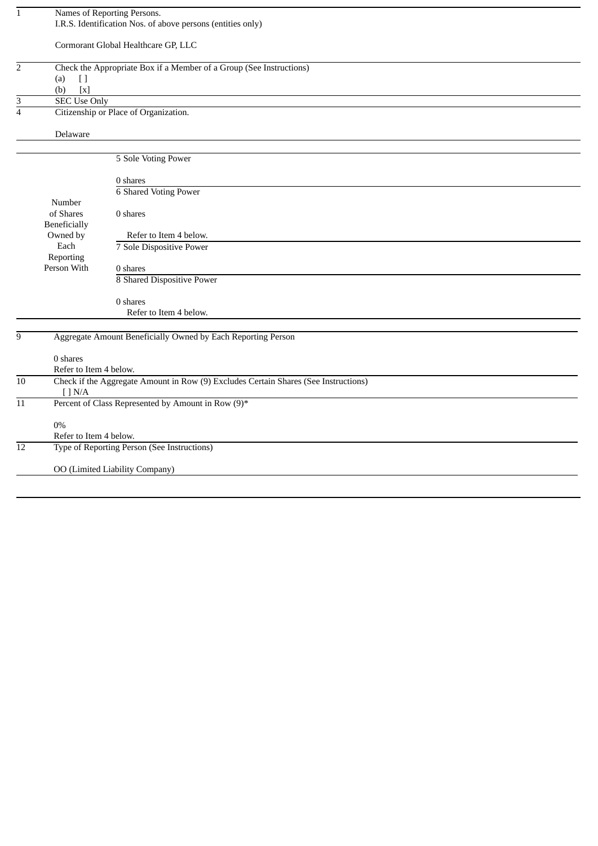| $\mathbf{1}$    |                                   | Names of Reporting Persons.                                                         |
|-----------------|-----------------------------------|-------------------------------------------------------------------------------------|
|                 |                                   | I.R.S. Identification Nos. of above persons (entities only)                         |
|                 |                                   |                                                                                     |
|                 |                                   | Cormorant Global Healthcare GP, LLC                                                 |
|                 |                                   |                                                                                     |
| $\overline{2}$  |                                   | Check the Appropriate Box if a Member of a Group (See Instructions)                 |
|                 | $[ \ ]$<br>(a)                    |                                                                                     |
|                 |                                   |                                                                                     |
|                 | (b)<br>$\left[ \mathbf{x}\right]$ |                                                                                     |
| 3               | <b>SEC Use Only</b>               |                                                                                     |
| $\overline{4}$  |                                   | Citizenship or Place of Organization.                                               |
|                 |                                   |                                                                                     |
|                 | Delaware                          |                                                                                     |
|                 |                                   |                                                                                     |
|                 |                                   | 5 Sole Voting Power                                                                 |
|                 |                                   |                                                                                     |
|                 |                                   | 0 shares                                                                            |
|                 |                                   | <b>6 Shared Voting Power</b>                                                        |
|                 | Number                            |                                                                                     |
|                 | of Shares                         | 0 shares                                                                            |
|                 | <b>Beneficially</b>               |                                                                                     |
|                 | Owned by                          | Refer to Item 4 below.                                                              |
|                 | Each                              |                                                                                     |
|                 |                                   | 7 Sole Dispositive Power                                                            |
|                 | Reporting                         |                                                                                     |
|                 | Person With                       | 0 shares                                                                            |
|                 |                                   | 8 Shared Dispositive Power                                                          |
|                 |                                   |                                                                                     |
|                 |                                   | 0 shares                                                                            |
|                 |                                   | Refer to Item 4 below.                                                              |
|                 |                                   |                                                                                     |
| 9               |                                   | Aggregate Amount Beneficially Owned by Each Reporting Person                        |
|                 |                                   |                                                                                     |
|                 | 0 shares                          |                                                                                     |
|                 | Refer to Item 4 below.            |                                                                                     |
| 10              |                                   | Check if the Aggregate Amount in Row (9) Excludes Certain Shares (See Instructions) |
|                 | $[$ $]$ N/A                       |                                                                                     |
| 11              |                                   | Percent of Class Represented by Amount in Row (9)*                                  |
|                 |                                   |                                                                                     |
|                 | $0\%$                             |                                                                                     |
|                 | Refer to Item 4 below.            |                                                                                     |
| $\overline{12}$ |                                   | Type of Reporting Person (See Instructions)                                         |
|                 |                                   |                                                                                     |
|                 |                                   |                                                                                     |
|                 |                                   | OO (Limited Liability Company)                                                      |
|                 |                                   |                                                                                     |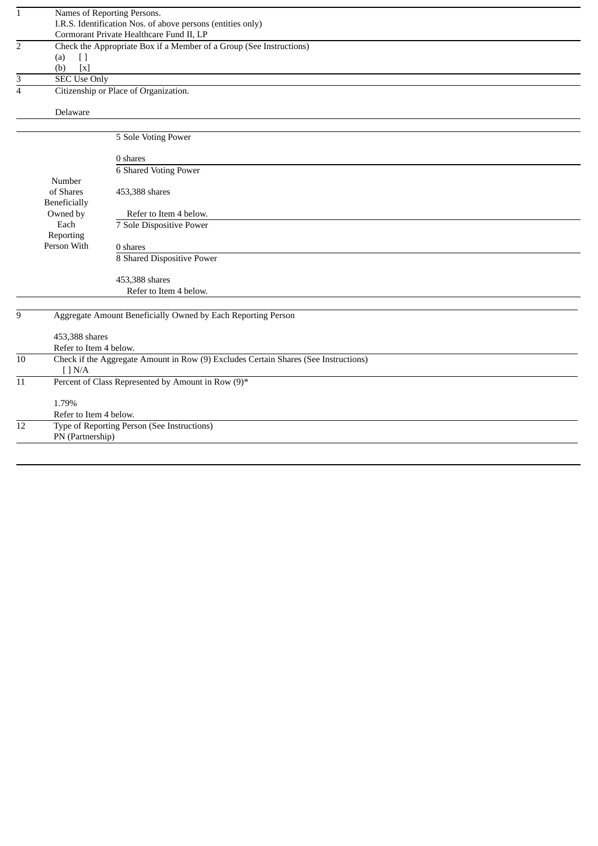| $\mathbf{1}$    |                        | Names of Reporting Persons.                                                         |
|-----------------|------------------------|-------------------------------------------------------------------------------------|
|                 |                        | I.R.S. Identification Nos. of above persons (entities only)                         |
|                 |                        | Cormorant Private Healthcare Fund II, LP                                            |
| $\overline{2}$  |                        | Check the Appropriate Box if a Member of a Group (See Instructions)                 |
|                 | (a)<br>$[ \ ]$         |                                                                                     |
|                 | [x]<br>(b)             |                                                                                     |
| 3               | <b>SEC Use Only</b>    |                                                                                     |
| $\overline{4}$  |                        | Citizenship or Place of Organization.                                               |
|                 | Delaware               |                                                                                     |
|                 |                        |                                                                                     |
|                 |                        | 5 Sole Voting Power                                                                 |
|                 |                        | 0 shares                                                                            |
|                 |                        | <b>6 Shared Voting Power</b>                                                        |
|                 | Number                 |                                                                                     |
|                 | of Shares              | 453,388 shares                                                                      |
|                 | Beneficially           |                                                                                     |
|                 | Owned by               | Refer to Item 4 below.                                                              |
|                 | Each                   | 7 Sole Dispositive Power                                                            |
|                 | Reporting              |                                                                                     |
|                 | Person With            | 0 shares                                                                            |
|                 |                        | 8 Shared Dispositive Power                                                          |
|                 |                        | 453,388 shares                                                                      |
|                 |                        | Refer to Item 4 below.                                                              |
|                 |                        |                                                                                     |
| 9               |                        | Aggregate Amount Beneficially Owned by Each Reporting Person                        |
|                 | 453,388 shares         |                                                                                     |
|                 | Refer to Item 4 below. |                                                                                     |
| 10              |                        | Check if the Aggregate Amount in Row (9) Excludes Certain Shares (See Instructions) |
|                 | [ ] N/A ]              |                                                                                     |
| 11              |                        | Percent of Class Represented by Amount in Row (9)*                                  |
|                 | 1.79%                  |                                                                                     |
|                 | Refer to Item 4 below. |                                                                                     |
| $\overline{12}$ |                        | Type of Reporting Person (See Instructions)                                         |
|                 | PN (Partnership)       |                                                                                     |
|                 |                        |                                                                                     |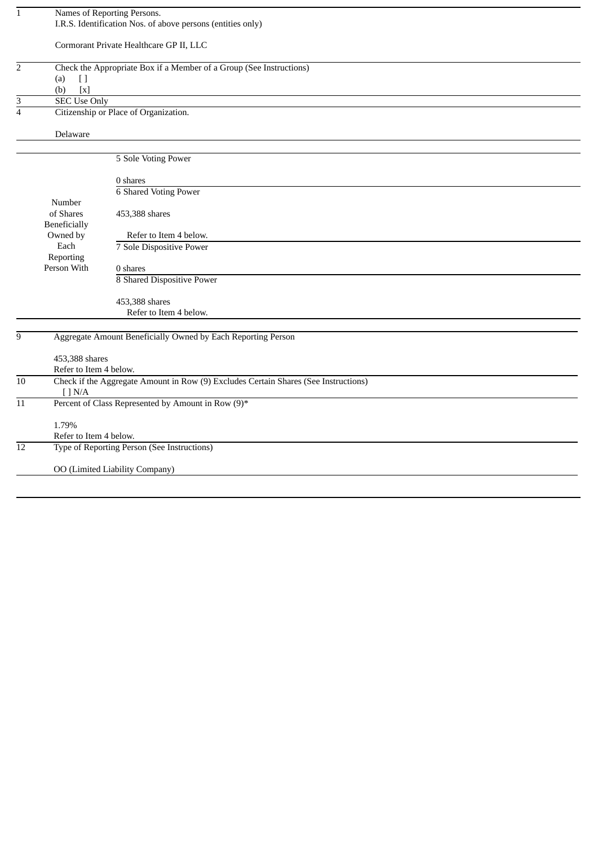| $\mathbf{1}$            |                        | Names of Reporting Persons.                                                         |
|-------------------------|------------------------|-------------------------------------------------------------------------------------|
|                         |                        | I.R.S. Identification Nos. of above persons (entities only)                         |
|                         |                        |                                                                                     |
|                         |                        | Cormorant Private Healthcare GP II, LLC                                             |
|                         |                        |                                                                                     |
| $\overline{c}$          |                        | Check the Appropriate Box if a Member of a Group (See Instructions)                 |
|                         | $[ \ ]$<br>(a)         |                                                                                     |
|                         | (b)<br>[x]             |                                                                                     |
| 3                       | <b>SEC Use Only</b>    |                                                                                     |
| $\overline{\mathbf{4}}$ |                        | Citizenship or Place of Organization.                                               |
|                         |                        |                                                                                     |
|                         | Delaware               |                                                                                     |
|                         |                        |                                                                                     |
|                         |                        | 5 Sole Voting Power                                                                 |
|                         |                        |                                                                                     |
|                         |                        | 0 shares                                                                            |
|                         |                        | <b>6 Shared Voting Power</b>                                                        |
|                         | Number                 |                                                                                     |
|                         | of Shares              | 453,388 shares                                                                      |
|                         |                        |                                                                                     |
|                         | <b>Beneficially</b>    |                                                                                     |
|                         | Owned by               | Refer to Item 4 below.                                                              |
|                         | Each                   | 7 Sole Dispositive Power                                                            |
|                         | Reporting              |                                                                                     |
|                         | Person With            | 0 shares                                                                            |
|                         |                        | 8 Shared Dispositive Power                                                          |
|                         |                        | 453,388 shares                                                                      |
|                         |                        | Refer to Item 4 below.                                                              |
|                         |                        |                                                                                     |
|                         |                        |                                                                                     |
| $\overline{9}$          |                        | Aggregate Amount Beneficially Owned by Each Reporting Person                        |
|                         | 453,388 shares         |                                                                                     |
|                         | Refer to Item 4 below. |                                                                                     |
| 10                      |                        |                                                                                     |
|                         | $\lceil$ $N/A$         | Check if the Aggregate Amount in Row (9) Excludes Certain Shares (See Instructions) |
| $11\,$                  |                        | Percent of Class Represented by Amount in Row (9)*                                  |
|                         |                        |                                                                                     |
|                         | 1.79%                  |                                                                                     |
|                         | Refer to Item 4 below. |                                                                                     |
| $\overline{12}$         |                        | Type of Reporting Person (See Instructions)                                         |
|                         |                        |                                                                                     |
|                         |                        | OO (Limited Liability Company)                                                      |
|                         |                        |                                                                                     |
|                         |                        |                                                                                     |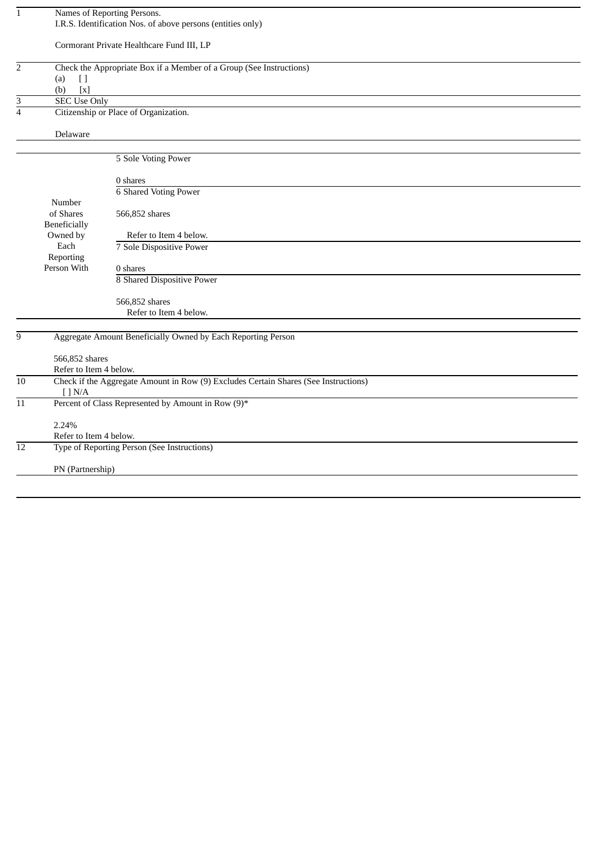| $\mathbf{1}$    |                          | Names of Reporting Persons.                                                         |
|-----------------|--------------------------|-------------------------------------------------------------------------------------|
|                 |                          | I.R.S. Identification Nos. of above persons (entities only)                         |
|                 |                          |                                                                                     |
|                 |                          |                                                                                     |
|                 |                          | Cormorant Private Healthcare Fund III, LP                                           |
|                 |                          |                                                                                     |
| $\overline{2}$  |                          | Check the Appropriate Box if a Member of a Group (See Instructions)                 |
|                 | (a)<br>$[ \ ]$           |                                                                                     |
|                 | $\left[ x\right]$<br>(b) |                                                                                     |
|                 |                          |                                                                                     |
| 3               | <b>SEC Use Only</b>      |                                                                                     |
| $\overline{4}$  |                          | Citizenship or Place of Organization.                                               |
|                 |                          |                                                                                     |
|                 | Delaware                 |                                                                                     |
|                 |                          |                                                                                     |
|                 |                          |                                                                                     |
|                 |                          | 5 Sole Voting Power                                                                 |
|                 |                          |                                                                                     |
|                 |                          | 0 shares                                                                            |
|                 |                          | <b>6 Shared Voting Power</b>                                                        |
|                 | Number                   |                                                                                     |
|                 |                          |                                                                                     |
|                 | of Shares                | 566,852 shares                                                                      |
|                 | Beneficially             |                                                                                     |
|                 | Owned by                 | Refer to Item 4 below.                                                              |
|                 | Each                     | 7 Sole Dispositive Power                                                            |
|                 | Reporting                |                                                                                     |
|                 | Person With              | 0 shares                                                                            |
|                 |                          |                                                                                     |
|                 |                          | 8 Shared Dispositive Power                                                          |
|                 |                          |                                                                                     |
|                 |                          | 566,852 shares                                                                      |
|                 |                          | Refer to Item 4 below.                                                              |
|                 |                          |                                                                                     |
|                 |                          |                                                                                     |
| 9               |                          | Aggregate Amount Beneficially Owned by Each Reporting Person                        |
|                 |                          |                                                                                     |
|                 | 566,852 shares           |                                                                                     |
|                 | Refer to Item 4 below.   |                                                                                     |
| $\overline{10}$ |                          | Check if the Aggregate Amount in Row (9) Excludes Certain Shares (See Instructions) |
|                 | [ ] N/A ]                |                                                                                     |
|                 |                          |                                                                                     |
| $11\,$          |                          | Percent of Class Represented by Amount in Row (9)*                                  |
|                 |                          |                                                                                     |
|                 | 2.24%                    |                                                                                     |
|                 | Refer to Item 4 below.   |                                                                                     |
| $\overline{12}$ |                          | Type of Reporting Person (See Instructions)                                         |
|                 |                          |                                                                                     |
|                 |                          |                                                                                     |
|                 | PN (Partnership)         |                                                                                     |
|                 |                          |                                                                                     |
|                 |                          |                                                                                     |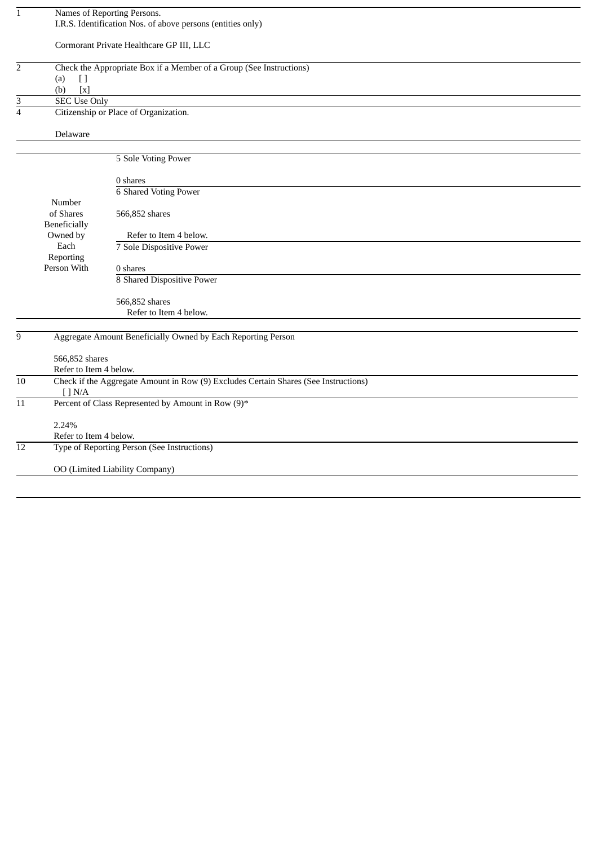| $\mathbf{1}$    |                                   | Names of Reporting Persons.                                                         |
|-----------------|-----------------------------------|-------------------------------------------------------------------------------------|
|                 |                                   | I.R.S. Identification Nos. of above persons (entities only)                         |
|                 |                                   |                                                                                     |
|                 |                                   | Cormorant Private Healthcare GP III, LLC                                            |
|                 |                                   |                                                                                     |
| $\overline{2}$  |                                   | Check the Appropriate Box if a Member of a Group (See Instructions)                 |
|                 | $[ \ ]$<br>(a)                    |                                                                                     |
|                 | (b)<br>$\left[ \mathbf{x}\right]$ |                                                                                     |
| 3               | <b>SEC Use Only</b>               |                                                                                     |
| $\overline{4}$  |                                   | Citizenship or Place of Organization.                                               |
|                 |                                   |                                                                                     |
|                 | Delaware                          |                                                                                     |
|                 |                                   |                                                                                     |
|                 |                                   |                                                                                     |
|                 |                                   | 5 Sole Voting Power                                                                 |
|                 |                                   |                                                                                     |
|                 |                                   | 0 shares                                                                            |
|                 |                                   | <b>6 Shared Voting Power</b>                                                        |
|                 | Number                            |                                                                                     |
|                 | of Shares                         | 566,852 shares                                                                      |
|                 | <b>Beneficially</b>               |                                                                                     |
|                 | Owned by                          | Refer to Item 4 below.                                                              |
|                 | Each                              | 7 Sole Dispositive Power                                                            |
|                 | Reporting                         |                                                                                     |
|                 | Person With                       | 0 shares                                                                            |
|                 |                                   | 8 Shared Dispositive Power                                                          |
|                 |                                   |                                                                                     |
|                 |                                   | 566,852 shares                                                                      |
|                 |                                   | Refer to Item 4 below.                                                              |
|                 |                                   |                                                                                     |
| 9               |                                   | Aggregate Amount Beneficially Owned by Each Reporting Person                        |
|                 |                                   |                                                                                     |
|                 | 566,852 shares                    |                                                                                     |
|                 | Refer to Item 4 below.            |                                                                                     |
| 10              |                                   | Check if the Aggregate Amount in Row (9) Excludes Certain Shares (See Instructions) |
|                 | $\lceil$ $N/A$                    |                                                                                     |
| $11\,$          |                                   | Percent of Class Represented by Amount in Row (9)*                                  |
|                 |                                   |                                                                                     |
|                 | 2.24%                             |                                                                                     |
|                 | Refer to Item 4 below.            |                                                                                     |
| $\overline{12}$ |                                   | Type of Reporting Person (See Instructions)                                         |
|                 |                                   |                                                                                     |
|                 |                                   | OO (Limited Liability Company)                                                      |
|                 |                                   |                                                                                     |
|                 |                                   |                                                                                     |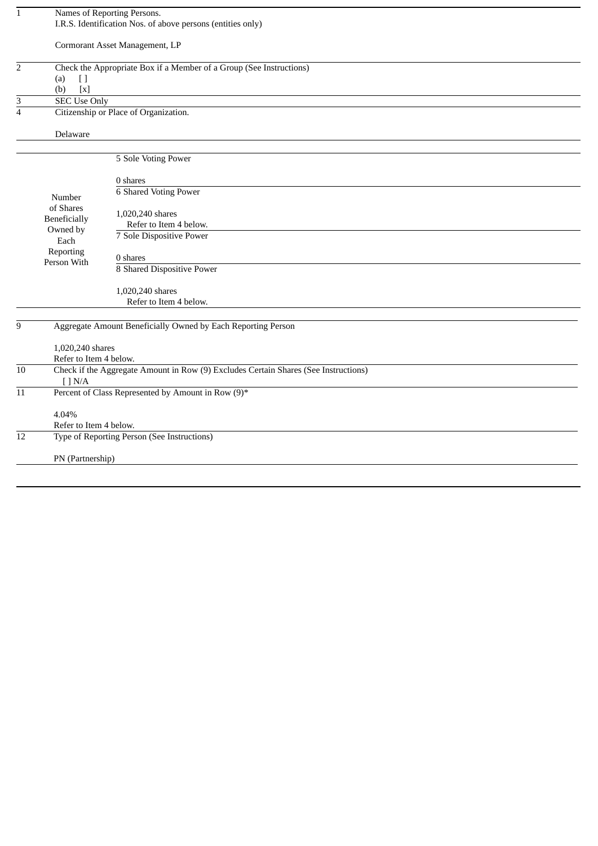| $\mathbf{1}$    |                        | Names of Reporting Persons.                                                         |
|-----------------|------------------------|-------------------------------------------------------------------------------------|
|                 |                        | I.R.S. Identification Nos. of above persons (entities only)                         |
|                 |                        |                                                                                     |
|                 |                        | Cormorant Asset Management, LP                                                      |
|                 |                        |                                                                                     |
| $\overline{2}$  |                        | Check the Appropriate Box if a Member of a Group (See Instructions)                 |
|                 | (a)<br>$[ \ ]$         |                                                                                     |
|                 | [x]<br>(b)             |                                                                                     |
| 3               | <b>SEC Use Only</b>    |                                                                                     |
| $\overline{4}$  |                        | Citizenship or Place of Organization.                                               |
|                 |                        |                                                                                     |
|                 | Delaware               |                                                                                     |
|                 |                        |                                                                                     |
|                 |                        | 5 Sole Voting Power                                                                 |
|                 |                        |                                                                                     |
|                 |                        | 0 shares                                                                            |
|                 |                        | <b>6 Shared Voting Power</b>                                                        |
|                 | Number                 |                                                                                     |
|                 | of Shares              | 1,020,240 shares                                                                    |
|                 | Beneficially           | Refer to Item 4 below.                                                              |
|                 | Owned by               | 7 Sole Dispositive Power                                                            |
|                 | Each                   |                                                                                     |
|                 | Reporting              | 0 shares                                                                            |
|                 | Person With            | 8 Shared Dispositive Power                                                          |
|                 |                        |                                                                                     |
|                 |                        | 1,020,240 shares                                                                    |
|                 |                        | Refer to Item 4 below.                                                              |
|                 |                        |                                                                                     |
| 9               |                        | Aggregate Amount Beneficially Owned by Each Reporting Person                        |
|                 |                        |                                                                                     |
|                 | 1,020,240 shares       |                                                                                     |
|                 | Refer to Item 4 below. |                                                                                     |
| $\overline{10}$ |                        | Check if the Aggregate Amount in Row (9) Excludes Certain Shares (See Instructions) |
|                 | $\lceil$ $\lceil$ N/A  |                                                                                     |
| 11              |                        | Percent of Class Represented by Amount in Row (9)*                                  |
|                 |                        |                                                                                     |
|                 | 4.04%                  |                                                                                     |
|                 | Refer to Item 4 below. |                                                                                     |
| 12              |                        | Type of Reporting Person (See Instructions)                                         |
|                 |                        |                                                                                     |
|                 | PN (Partnership)       |                                                                                     |
|                 |                        |                                                                                     |
|                 |                        |                                                                                     |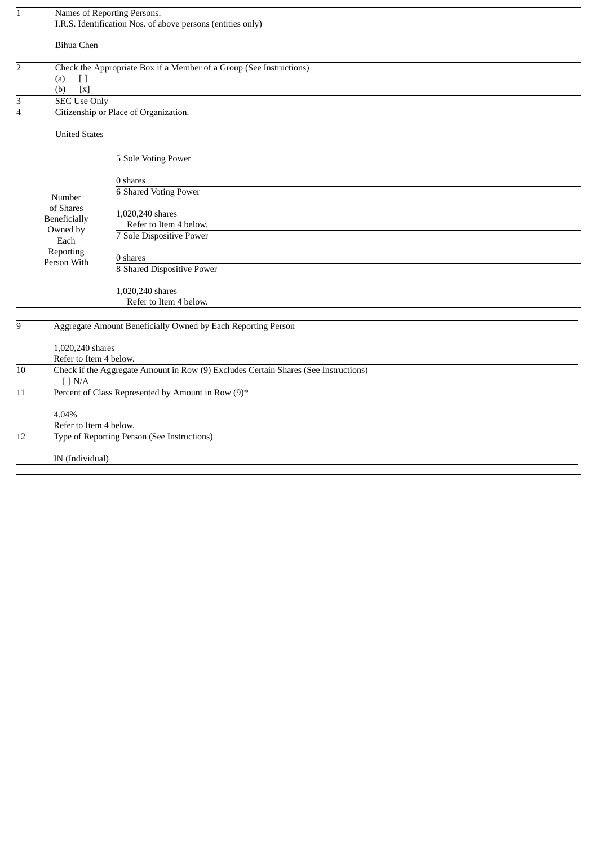| $\mathbf{1}$    |                          | Names of Reporting Persons.                                                         |
|-----------------|--------------------------|-------------------------------------------------------------------------------------|
|                 |                          | I.R.S. Identification Nos. of above persons (entities only)                         |
|                 |                          |                                                                                     |
|                 | <b>Bihua Chen</b>        |                                                                                     |
| $\overline{2}$  |                          | Check the Appropriate Box if a Member of a Group (See Instructions)                 |
|                 | (a)<br>$[ \ ]$           |                                                                                     |
|                 | [x]<br>(b)               |                                                                                     |
| 3               | <b>SEC Use Only</b>      |                                                                                     |
| $\overline{4}$  |                          | Citizenship or Place of Organization.                                               |
|                 | <b>United States</b>     |                                                                                     |
|                 |                          |                                                                                     |
|                 |                          | 5 Sole Voting Power                                                                 |
|                 |                          | 0 shares                                                                            |
|                 |                          | <b>6 Shared Voting Power</b>                                                        |
|                 | Number                   |                                                                                     |
|                 | of Shares                | 1,020,240 shares                                                                    |
|                 | <b>Beneficially</b>      | Refer to Item 4 below.                                                              |
|                 | Owned by                 | 7 Sole Dispositive Power                                                            |
|                 | Each                     |                                                                                     |
|                 | Reporting<br>Person With | 0 shares                                                                            |
|                 |                          | 8 Shared Dispositive Power                                                          |
|                 |                          | 1,020,240 shares                                                                    |
|                 |                          | Refer to Item 4 below.                                                              |
|                 |                          |                                                                                     |
| 9               |                          | Aggregate Amount Beneficially Owned by Each Reporting Person                        |
|                 | 1,020,240 shares         |                                                                                     |
|                 | Refer to Item 4 below.   |                                                                                     |
| $\overline{10}$ |                          | Check if the Aggregate Amount in Row (9) Excludes Certain Shares (See Instructions) |
|                 | [ ] N/A                  |                                                                                     |
| 11              |                          | Percent of Class Represented by Amount in Row (9)*                                  |
|                 | 4.04%                    |                                                                                     |
|                 | Refer to Item 4 below.   |                                                                                     |
| 12              |                          | Type of Reporting Person (See Instructions)                                         |
|                 | IN (Individual)          |                                                                                     |
|                 |                          |                                                                                     |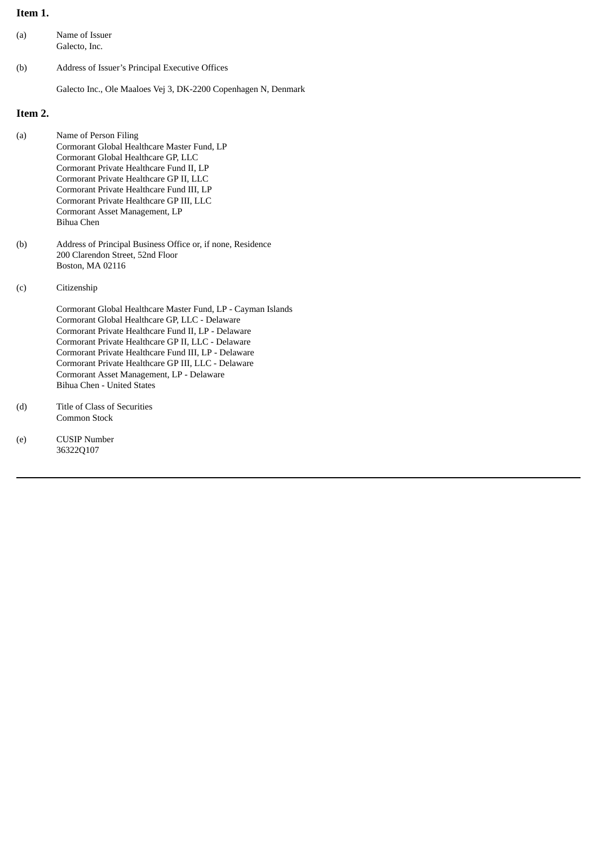# **Item 1.**

| (a) | Name of Issuer |
|-----|----------------|
|     | Galecto, Inc.  |

(b) Address of Issuer's Principal Executive Offices

Galecto Inc., Ole Maaloes Vej 3, DK-2200 Copenhagen N, Denmark

# **Item 2.**

| (a) | Name of Person Filing                       |
|-----|---------------------------------------------|
|     | Cormorant Global Healthcare Master Fund, LP |
|     | Cormorant Global Healthcare GP, LLC         |
|     | Cormorant Private Healthcare Fund II, LP    |
|     | Cormorant Private Healthcare GP II, LLC     |
|     | Cormorant Private Healthcare Fund III, LP   |
|     | Cormorant Private Healthcare GP III, LLC    |
|     | Cormorant Asset Management, LP              |
|     | Bihua Chen                                  |
|     |                                             |

- (b) Address of Principal Business Office or, if none, Residence 200 Clarendon Street, 52nd Floor Boston, MA 02116
- (c) Citizenship

Cormorant Global Healthcare Master Fund, LP - Cayman Islands Cormorant Global Healthcare GP, LLC - Delaware Cormorant Private Healthcare Fund II, LP - Delaware Cormorant Private Healthcare GP II, LLC - Delaware Cormorant Private Healthcare Fund III, LP - Delaware Cormorant Private Healthcare GP III, LLC - Delaware Cormorant Asset Management, LP - Delaware Bihua Chen - United States

- (d) Title of Class of Securities Common Stock
- (e) CUSIP Number 36322Q107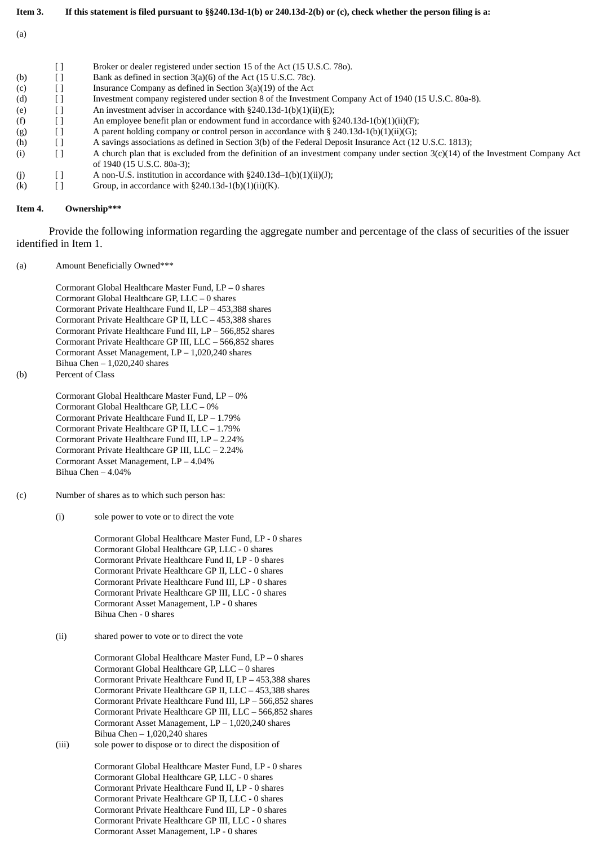- Item 3. If this statement is filed pursuant to §§240.13d-1(b) or 240.13d-2(b) or (c), check whether the person filing is a:
- (a)

|     | Broker or dealer registered under section 15 of the Act (15 U.S.C. 780).                                                           |
|-----|------------------------------------------------------------------------------------------------------------------------------------|
| (b) | Bank as defined in section 3(a)(6) of the Act (15 U.S.C. 78c).                                                                     |
| (c) | Insurance Company as defined in Section $3(a)(19)$ of the Act                                                                      |
| (d) | Investment company registered under section 8 of the Investment Company Act of 1940 (15 U.S.C. 80a-8).                             |
| (e) | An investment adviser in accordance with $\S 240.13d-1(b)(1)(ii)(E)$ ;                                                             |
| (f) | An employee benefit plan or endowment fund in accordance with $\S 240.13d-1(b)(1)(ii)(F)$ ;                                        |
| (g) | A parent holding company or control person in accordance with $\S 240.13d-1(b)(1)(ii)(G);$                                         |
| (h) | A savings associations as defined in Section 3(b) of the Federal Deposit Insurance Act (12 U.S.C. 1813);                           |
| (i) | A church plan that is excluded from the definition of an investment company under section $3(c)(14)$ of the Investment Company Act |
|     | of 1940 (15 U.S.C. 80a-3);                                                                                                         |
| (i) | A non-U.S. institution in accordance with $\S240.13d-1(b)(1)(ii)(J)$ ;                                                             |
| (k) | Group, in accordance with $\S 240.13d-1(b)(1)(ii)(K)$ .                                                                            |

### **Item 4. Ownership\*\*\***

Provide the following information regarding the aggregate number and percentage of the class of securities of the issuer identified in Item 1.

(a) Amount Beneficially Owned\*\*\*

Cormorant Global Healthcare Master Fund, LP – 0 shares Cormorant Global Healthcare GP, LLC – 0 shares Cormorant Private Healthcare Fund II, LP – 453,388 shares Cormorant Private Healthcare GP II, LLC – 453,388 shares Cormorant Private Healthcare Fund III, LP – 566,852 shares Cormorant Private Healthcare GP III, LLC – 566,852 shares Cormorant Asset Management, LP – 1,020,240 shares Bihua Chen  $-1,020,240$  shares

(b) Percent of Class

Cormorant Global Healthcare Master Fund, LP – 0% Cormorant Global Healthcare GP, LLC – 0% Cormorant Private Healthcare Fund II, LP – 1.79% Cormorant Private Healthcare GP II, LLC – 1.79% Cormorant Private Healthcare Fund III, LP – 2.24% Cormorant Private Healthcare GP III, LLC – 2.24% Cormorant Asset Management, LP – 4.04% Bihua Chen – 4.04%

- (c) Number of shares as to which such person has:
	- (i) sole power to vote or to direct the vote

Cormorant Global Healthcare Master Fund, LP - 0 shares Cormorant Global Healthcare GP, LLC - 0 shares Cormorant Private Healthcare Fund II, LP - 0 shares Cormorant Private Healthcare GP II, LLC - 0 shares Cormorant Private Healthcare Fund III, LP - 0 shares Cormorant Private Healthcare GP III, LLC - 0 shares Cormorant Asset Management, LP - 0 shares Bihua Chen - 0 shares

(ii) shared power to vote or to direct the vote

Cormorant Global Healthcare Master Fund, LP – 0 shares Cormorant Global Healthcare GP, LLC – 0 shares Cormorant Private Healthcare Fund II, LP – 453,388 shares Cormorant Private Healthcare GP II, LLC – 453,388 shares Cormorant Private Healthcare Fund III, LP – 566,852 shares Cormorant Private Healthcare GP III, LLC – 566,852 shares Cormorant Asset Management, LP – 1,020,240 shares Bihua Chen  $-1,020,240$  shares

(iii) sole power to dispose or to direct the disposition of

Cormorant Global Healthcare Master Fund, LP - 0 shares Cormorant Global Healthcare GP, LLC - 0 shares Cormorant Private Healthcare Fund II, LP - 0 shares Cormorant Private Healthcare GP II, LLC - 0 shares Cormorant Private Healthcare Fund III, LP - 0 shares Cormorant Private Healthcare GP III, LLC - 0 shares Cormorant Asset Management, LP - 0 shares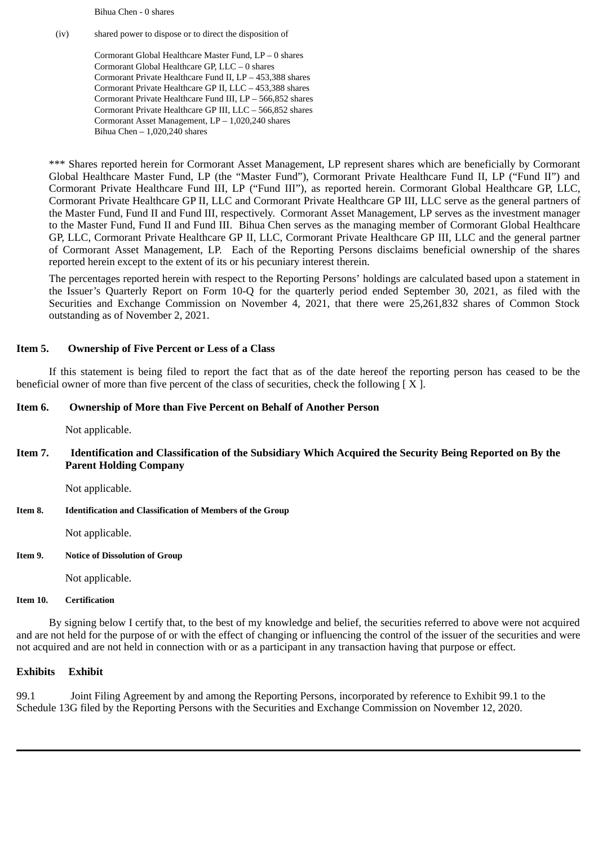Bihua Chen - 0 shares

(iv) shared power to dispose or to direct the disposition of

Cormorant Global Healthcare Master Fund, LP – 0 shares Cormorant Global Healthcare GP, LLC – 0 shares Cormorant Private Healthcare Fund II, LP – 453,388 shares Cormorant Private Healthcare GP II, LLC – 453,388 shares Cormorant Private Healthcare Fund III, LP – 566,852 shares Cormorant Private Healthcare GP III, LLC – 566,852 shares Cormorant Asset Management, LP – 1,020,240 shares Bihua Chen – 1,020,240 shares

\*\*\* Shares reported herein for Cormorant Asset Management, LP represent shares which are beneficially by Cormorant Global Healthcare Master Fund, LP (the "Master Fund"), Cormorant Private Healthcare Fund II, LP ("Fund II") and Cormorant Private Healthcare Fund III, LP ("Fund III"), as reported herein. Cormorant Global Healthcare GP, LLC, Cormorant Private Healthcare GP II, LLC and Cormorant Private Healthcare GP III, LLC serve as the general partners of the Master Fund, Fund II and Fund III, respectively. Cormorant Asset Management, LP serves as the investment manager to the Master Fund, Fund II and Fund III. Bihua Chen serves as the managing member of Cormorant Global Healthcare GP, LLC, Cormorant Private Healthcare GP II, LLC, Cormorant Private Healthcare GP III, LLC and the general partner of Cormorant Asset Management, LP. Each of the Reporting Persons disclaims beneficial ownership of the shares reported herein except to the extent of its or his pecuniary interest therein.

The percentages reported herein with respect to the Reporting Persons' holdings are calculated based upon a statement in the Issuer's Quarterly Report on Form 10-Q for the quarterly period ended September 30, 2021, as filed with the Securities and Exchange Commission on November 4, 2021, that there were 25,261,832 shares of Common Stock outstanding as of November 2, 2021.

# **Item 5. Ownership of Five Percent or Less of a Class**

If this statement is being filed to report the fact that as of the date hereof the reporting person has ceased to be the beneficial owner of more than five percent of the class of securities, check the following  $[ X ]$ .

## **Item 6. Ownership of More than Five Percent on Behalf of Another Person**

Not applicable.

**Item 7. Identification and Classification of the Subsidiary Which Acquired the Security Being Reported on By the Parent Holding Company**

Not applicable.

**Item 8. Identification and Classification of Members of the Group**

Not applicable.

## **Item 9. Notice of Dissolution of Group**

Not applicable.

## **Item 10. Certification**

By signing below I certify that, to the best of my knowledge and belief, the securities referred to above were not acquired and are not held for the purpose of or with the effect of changing or influencing the control of the issuer of the securities and were not acquired and are not held in connection with or as a participant in any transaction having that purpose or effect.

## **Exhibits Exhibit**

99.1 Joint Filing Agreement by and among the Reporting Persons, incorporated by reference to Exhibit 99.1 to the Schedule 13G filed by the Reporting Persons with the Securities and Exchange Commission on November 12, 2020.